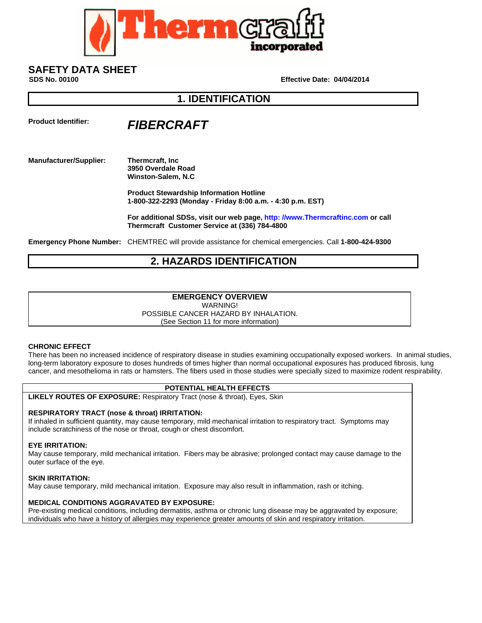

# **SAFETY DATA SHEET**

**SDS No. 00100 Effective Date: 04/04/2014** 

### **1. IDENTIFICATION**

## **Product Identifier:** *FIBERCRAFT*

#### **Manufacturer/Supplier: Thermcraft, Inc 3950 Overdale Road Winston-Salem, N.C**

 **Product Stewardship Information Hotline 1-800-322-2293 (Monday - Friday 8:00 a.m. - 4:30 p.m. EST)** 

 **For additional SDSs, visit our web page, http: //www.Thermcraftinc.com or call Thermcraft Customer Service at (336) 784-4800** 

**Emergency Phone Number:** CHEMTREC will provide assistance for chemical emergencies. Call **1-800-424-9300**

### **2. HAZARDS IDENTIFICATION**

### **EMERGENCY OVERVIEW**

WARNING!

POSSIBLE CANCER HAZARD BY INHALATION.

(See Section 11 for more information)

### **CHRONIC EFFECT**

There has been no increased incidence of respiratory disease in studies examining occupationally exposed workers. In animal studies, long-term laboratory exposure to doses hundreds of times higher than normal occupational exposures has produced fibrosis, lung cancer, and mesothelioma in rats or hamsters. The fibers used in those studies were specially sized to maximize rodent respirability.

### **POTENTIAL HEALTH EFFECTS**

**LIKELY ROUTES OF EXPOSURE:** Respiratory Tract (nose & throat), Eyes, Skin

### **RESPIRATORY TRACT (nose & throat) IRRITATION:**

If inhaled in sufficient quantity, may cause temporary, mild mechanical irritation to respiratory tract. Symptoms may include scratchiness of the nose or throat, cough or chest discomfort.

### **EYE IRRITATION:**

May cause temporary, mild mechanical irritation. Fibers may be abrasive; prolonged contact may cause damage to the outer surface of the eye.

### **SKIN IRRITATION:**

May cause temporary, mild mechanical irritation. Exposure may also result in inflammation, rash or itching.

### **MEDICAL CONDITIONS AGGRAVATED BY EXPOSURE:**

Pre-existing medical conditions, including dermatitis, asthma or chronic lung disease may be aggravated by exposure; individuals who have a history of allergies may experience greater amounts of skin and respiratory irritation.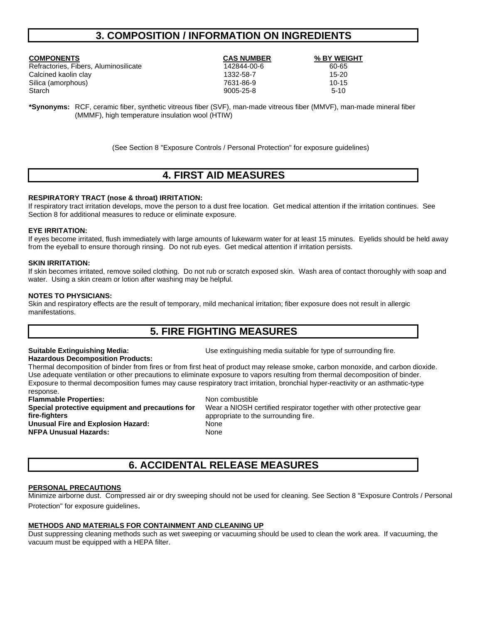### **3. COMPOSITION / INFORMATION ON INGREDIENTS**

| <b>COMPONENTS</b>                     | <b>CAS NUMBER</b> | % BY WEIGHT |
|---------------------------------------|-------------------|-------------|
| Refractories, Fibers, Aluminosilicate | 142844-00-6       | 60-65       |
| Calcined kaolin clay                  | 1332-58-7         | $15 - 20$   |
| Silica (amorphous)                    | 7631-86-9         | $10 - 15$   |
| Starch                                | 9005-25-8         | $5-10$      |
|                                       |                   |             |

**\*Synonyms:** RCF, ceramic fiber, synthetic vitreous fiber (SVF), man-made vitreous fiber (MMVF), man-made mineral fiber (MMMF), high temperature insulation wool (HTIW)

(See Section 8 "Exposure Controls / Personal Protection" for exposure guidelines)

### **4. FIRST AID MEASURES**

### **RESPIRATORY TRACT (nose & throat) IRRITATION:**

If respiratory tract irritation develops, move the person to a dust free location. Get medical attention if the irritation continues. See Section 8 for additional measures to reduce or eliminate exposure.

#### **EYE IRRITATION:**

If eyes become irritated, flush immediately with large amounts of lukewarm water for at least 15 minutes. Eyelids should be held away from the eyeball to ensure thorough rinsing. Do not rub eyes. Get medical attention if irritation persists.

#### **SKIN IRRITATION:**

If skin becomes irritated, remove soiled clothing. Do not rub or scratch exposed skin. Wash area of contact thoroughly with soap and water. Using a skin cream or lotion after washing may be helpful.

#### **NOTES TO PHYSICIANS:**

Skin and respiratory effects are the result of temporary, mild mechanical irritation; fiber exposure does not result in allergic manifestations.

### **5. FIRE FIGHTING MEASURES**

#### **Hazardous Decomposition Products:**

**Suitable Extinguishing Media:** Use extinguishing media suitable for type of surrounding fire.

Thermal decomposition of binder from fires or from first heat of product may release smoke, carbon monoxide, and carbon dioxide. Use adequate ventilation or other precautions to eliminate exposure to vapors resulting from thermal decomposition of binder. Exposure to thermal decomposition fumes may cause respiratory tract irritation, bronchial hyper-reactivity or an asthmatic-type response.

**Flammable Properties:** Non combustible **Special protective equipment and precautions for fire-fighters Unusual Fire and Explosion Hazard:** None **NFPA Unusual Hazards:** None

Wear a NIOSH certified respirator together with other protective gear appropriate to the surrounding fire.

### **6. ACCIDENTAL RELEASE MEASURES**

#### **PERSONAL PRECAUTIONS**

Minimize airborne dust. Compressed air or dry sweeping should not be used for cleaning. See Section 8 "Exposure Controls / Personal Protection" for exposure guidelines.

### **METHODS AND MATERIALS FOR CONTAINMENT AND CLEANING UP**

Dust suppressing cleaning methods such as wet sweeping or vacuuming should be used to clean the work area. If vacuuming, the vacuum must be equipped with a HEPA filter.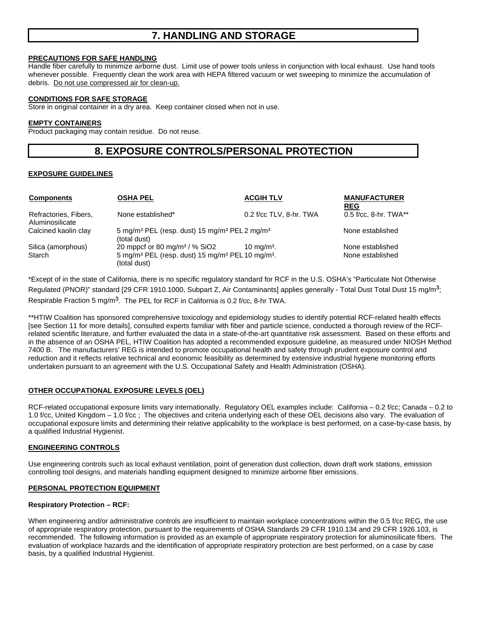### **7. HANDLING AND STORAGE**

### **PRECAUTIONS FOR SAFE HANDLING**

Handle fiber carefully to minimize airborne dust. Limit use of power tools unless in conjunction with local exhaust. Use hand tools whenever possible. Frequently clean the work area with HEPA filtered vacuum or wet sweeping to minimize the accumulation of debris. Do not use compressed air for clean-up.

### **CONDITIONS FOR SAFE STORAGE**

Store in original container in a dry area. Keep container closed when not in use.

### **EMPTY CONTAINERS**

Product packaging may contain residue. Do not reuse.

### **8. EXPOSURE CONTROLS/PERSONAL PROTECTION**

### **EXPOSURE GUIDELINES**

| <b>Components</b>                        | <b>OSHA PEL</b>                                                                                      | <b>ACGIH TLV</b>        | <b>MANUFACTURER</b><br><b>REG</b> |
|------------------------------------------|------------------------------------------------------------------------------------------------------|-------------------------|-----------------------------------|
| Refractories, Fibers,<br>Aluminosilicate | None established*                                                                                    | 0.2 f/cc TLV, 8-hr. TWA | $0.5$ f/cc, 8-hr. TWA**           |
| Calcined kaolin clay                     | 5 mg/m <sup>3</sup> PEL (resp. dust) 15 mg/m <sup>3</sup> PEL 2 mg/m <sup>3</sup><br>(total dust)    |                         | None established                  |
| Silica (amorphous)                       | 20 mppcf or 80 mg/m <sup>3</sup> / $%$ SiO <sub>2</sub>                                              | 10 mg/m <sup>3</sup> .  | None established                  |
| Starch                                   | 5 mg/m <sup>3</sup> PEL (resp. dust) 15 mg/m <sup>3</sup> PEL 10 mg/m <sup>3</sup> .<br>(total dust) |                         | None established                  |

\*Except of in the state of California, there is no specific regulatory standard for RCF in the U.S. OSHA's "Particulate Not Otherwise Regulated (PNOR)" standard [29 CFR 1910.1000, Subpart Z, Air Contaminants] applies generally - Total Dust Total Dust 15 mg/m<sup>3</sup>; Respirable Fraction 5 mg/m<sup>3</sup>. The PEL for RCF in California is 0.2 f/cc, 8-hr TWA.

\*\*HTIW Coalition has sponsored comprehensive toxicology and epidemiology studies to identify potential RCF-related health effects [see Section 11 for more details], consulted experts familiar with fiber and particle science, conducted a thorough review of the RCFrelated scientific literature, and further evaluated the data in a state-of-the-art quantitative risk assessment. Based on these efforts and in the absence of an OSHA PEL, HTIW Coalition has adopted a recommended exposure guideline, as measured under NIOSH Method 7400 B. The manufacturers' REG is intended to promote occupational health and safety through prudent exposure control and reduction and it reflects relative technical and economic feasibility as determined by extensive industrial hygiene monitoring efforts undertaken pursuant to an agreement with the U.S. Occupational Safety and Health Administration (OSHA).

### **OTHER OCCUPATIONAL EXPOSURE LEVELS (OEL)**

RCF-related occupational exposure limits vary internationally. Regulatory OEL examples include: California – 0.2 f/cc; Canada – 0.2 to 1.0 f/cc, United Kingdom – 1.0 f/cc ; The objectives and criteria underlying each of these OEL decisions also vary. The evaluation of occupational exposure limits and determining their relative applicability to the workplace is best performed, on a case-by-case basis, by a qualified Industrial Hygienist.

### **ENGINEERING CONTROLS**

Use engineering controls such as local exhaust ventilation, point of generation dust collection, down draft work stations, emission controlling tool designs, and materials handling equipment designed to minimize airborne fiber emissions.

### **PERSONAL PROTECTION EQUIPMENT**

### **Respiratory Protection – RCF:**

When engineering and/or administrative controls are insufficient to maintain workplace concentrations within the 0.5 f/cc REG, the use of appropriate respiratory protection, pursuant to the requirements of OSHA Standards 29 CFR 1910.134 and 29 CFR 1926.103, is recommended. The following information is provided as an example of appropriate respiratory protection for aluminosilicate fibers. The evaluation of workplace hazards and the identification of appropriate respiratory protection are best performed, on a case by case basis, by a qualified Industrial Hygienist.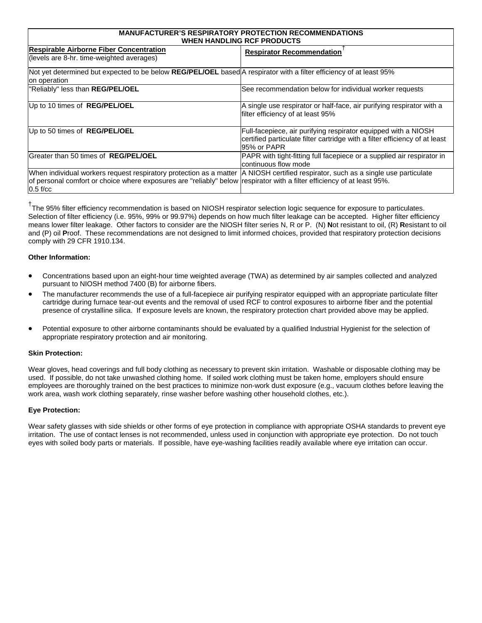| <b>MANUFACTURER'S RESPIRATORY PROTECTION RECOMMENDATIONS</b><br>WHEN HANDLING RCF PRODUCTS                                                                                                                  |                                                                                                                                                              |  |
|-------------------------------------------------------------------------------------------------------------------------------------------------------------------------------------------------------------|--------------------------------------------------------------------------------------------------------------------------------------------------------------|--|
| <b>Respirable Airborne Fiber Concentration</b><br>(levels are 8-hr. time-weighted averages)                                                                                                                 | <b>Respirator Recommendation</b>                                                                                                                             |  |
| Not yet determined but expected to be below REG/PEL/OEL based A respirator with a filter efficiency of at least 95%<br>on operation                                                                         |                                                                                                                                                              |  |
| "Reliably" less than REG/PEL/OEL                                                                                                                                                                            | See recommendation below for individual worker requests                                                                                                      |  |
| Up to 10 times of <b>REG/PEL/OEL</b>                                                                                                                                                                        | A single use respirator or half-face, air purifying respirator with a<br>filter efficiency of at least 95%                                                   |  |
| Up to 50 times of <b>REG/PEL/OEL</b>                                                                                                                                                                        | Full-facepiece, air purifying respirator equipped with a NIOSH<br>certified particulate filter cartridge with a filter efficiency of at least<br>95% or PAPR |  |
| Greater than 50 times of REG/PEL/OEL                                                                                                                                                                        | PAPR with tight-fitting full facepiece or a supplied air respirator in<br>Icontinuous flow mode                                                              |  |
| When individual workers request respiratory protection as a matter<br>of personal comfort or choice where exposures are "reliably" below respirator with a filter efficiency of at least 95%.<br>$0.5$ f/cc | A NIOSH certified respirator, such as a single use particulate                                                                                               |  |

<sup>†</sup>The 95% filter efficiency recommendation is based on NIOSH respirator selection logic sequence for exposure to particulates. Selection of filter efficiency (i.e. 95%, 99% or 99.97%) depends on how much filter leakage can be accepted. Higher filter efficiency means lower filter leakage. Other factors to consider are the NIOSH filter series N, R or P. (N) **N**ot resistant to oil, (R) **R**esistant to oil and (P) oil **P**roof. These recommendations are not designed to limit informed choices, provided that respiratory protection decisions comply with 29 CFR 1910.134.

### **Other Information:**

- Concentrations based upon an eight-hour time weighted average (TWA) as determined by air samples collected and analyzed pursuant to NIOSH method 7400 (B) for airborne fibers.
- The manufacturer recommends the use of a full-facepiece air purifying respirator equipped with an appropriate particulate filter cartridge during furnace tear-out events and the removal of used RCF to control exposures to airborne fiber and the potential presence of crystalline silica. If exposure levels are known, the respiratory protection chart provided above may be applied.
- Potential exposure to other airborne contaminants should be evaluated by a qualified Industrial Hygienist for the selection of appropriate respiratory protection and air monitoring.

### **Skin Protection:**

Wear gloves, head coverings and full body clothing as necessary to prevent skin irritation. Washable or disposable clothing may be used. If possible, do not take unwashed clothing home. If soiled work clothing must be taken home, employers should ensure employees are thoroughly trained on the best practices to minimize non-work dust exposure (e.g., vacuum clothes before leaving the work area, wash work clothing separately, rinse washer before washing other household clothes, etc.).

### **Eye Protection:**

Wear safety glasses with side shields or other forms of eye protection in compliance with appropriate OSHA standards to prevent eye irritation. The use of contact lenses is not recommended, unless used in conjunction with appropriate eye protection. Do not touch eyes with soiled body parts or materials. If possible, have eye-washing facilities readily available where eye irritation can occur.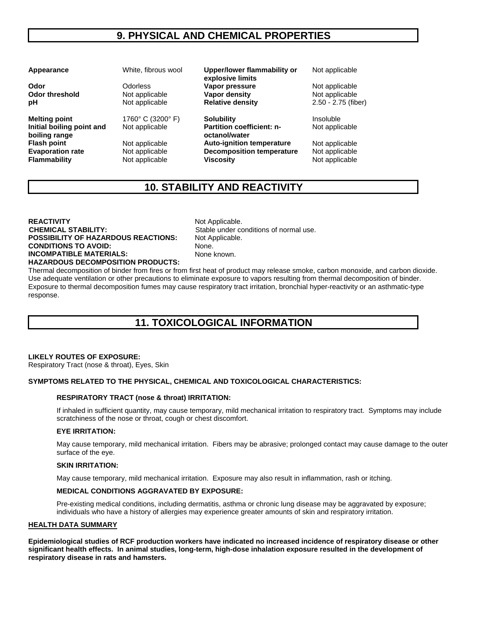### **9. PHYSICAL AND CHEMICAL PROPERTIES**

**Melting point** 1760° C (3200° F) **Solubility** Insoluble **Initial boiling point and boiling range** 

**Appearance** White, fibrous wool **Upper/lower flammability or explosive limits Odor Changes Conference Codorles State Codor**<br> **Odor threshold** Mot applicable **Vapor density** Not applicable **Not applicable Odor threshold Not applicable <b>Vapor density Not applicable Not applicable pH Not applicable Relative density** 2.50 - 2.75 (fiber)

Not applicable **Partition coefficient: noctanol/water Flash point** Not applicable **Auto-ignition temperature** Not applicable **Evaporation rate** Not applicable **Decomposition temperature** Not applicable **Flammability • Not applicable • Viscosity • Not applicable <b>Viscosity** • Not applicable

Not applicable

Not applicable

### **10. STABILITY AND REACTIVITY**

**REACTIVITY** Not Applicable. **CHEMICAL STABILITY:** Stable under conditions of normal use. **POSSIBILITY OF HAZARDOUS REACTIONS:** Not Applicable. **CONDITIONS TO AVOID:** None. **INCOMPATIBLE MATERIALS:** None known. **HAZARDOUS DECOMPOSITION PRODUCTS:** 

Thermal decomposition of binder from fires or from first heat of product may release smoke, carbon monoxide, and carbon dioxide. Use adequate ventilation or other precautions to eliminate exposure to vapors resulting from thermal decomposition of binder. Exposure to thermal decomposition fumes may cause respiratory tract irritation, bronchial hyper-reactivity or an asthmatic-type response.

## **11. TOXICOLOGICAL INFORMATION**

### **LIKELY ROUTES OF EXPOSURE:**

Respiratory Tract (nose & throat), Eyes, Skin

### **SYMPTOMS RELATED TO THE PHYSICAL, CHEMICAL AND TOXICOLOGICAL CHARACTERISTICS:**

#### **RESPIRATORY TRACT (nose & throat) IRRITATION:**

If inhaled in sufficient quantity, may cause temporary, mild mechanical irritation to respiratory tract. Symptoms may include scratchiness of the nose or throat, cough or chest discomfort.

#### **EYE IRRITATION:**

May cause temporary, mild mechanical irritation. Fibers may be abrasive; prolonged contact may cause damage to the outer surface of the eye.

#### **SKIN IRRITATION:**

May cause temporary, mild mechanical irritation. Exposure may also result in inflammation, rash or itching.

### **MEDICAL CONDITIONS AGGRAVATED BY EXPOSURE:**

Pre-existing medical conditions, including dermatitis, asthma or chronic lung disease may be aggravated by exposure; individuals who have a history of allergies may experience greater amounts of skin and respiratory irritation.

#### **HEALTH DATA SUMMARY**

**Epidemiological studies of RCF production workers have indicated no increased incidence of respiratory disease or other significant health effects. In animal studies, long-term, high-dose inhalation exposure resulted in the development of respiratory disease in rats and hamsters.**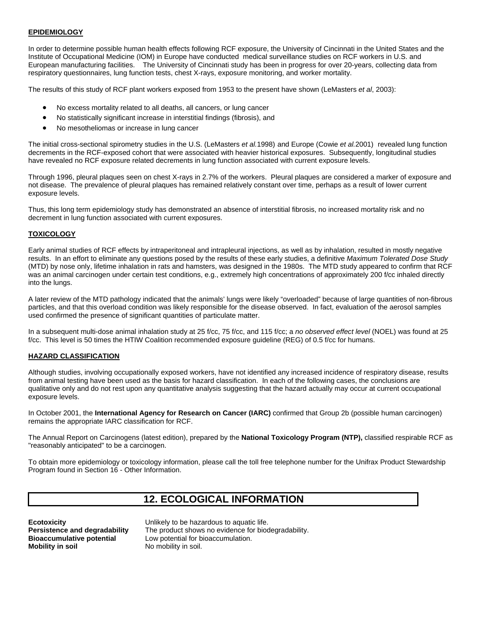### **EPIDEMIOLOGY**

In order to determine possible human health effects following RCF exposure, the University of Cincinnati in the United States and the Institute of Occupational Medicine (IOM) in Europe have conducted medical surveillance studies on RCF workers in U.S. and European manufacturing facilities. The University of Cincinnati study has been in progress for over 20-years, collecting data from respiratory questionnaires, lung function tests, chest X-rays, exposure monitoring, and worker mortality.

The results of this study of RCF plant workers exposed from 1953 to the present have shown (LeMasters *et al*, 2003):

- No excess mortality related to all deaths, all cancers, or lung cancer
- No statistically significant increase in interstitial findings (fibrosis), and
- No mesotheliomas or increase in lung cancer

The initial cross-sectional spirometry studies in the U.S. (LeMasters *et al.*1998) and Europe (Cowie *et al.*2001) revealed lung function decrements in the RCF-exposed cohort that were associated with heavier historical exposures. Subsequently, longitudinal studies have revealed no RCF exposure related decrements in lung function associated with current exposure levels.

Through 1996, pleural plaques seen on chest X-rays in 2.7% of the workers. Pleural plaques are considered a marker of exposure and not disease. The prevalence of pleural plaques has remained relatively constant over time, perhaps as a result of lower current exposure levels.

Thus, this long term epidemiology study has demonstrated an absence of interstitial fibrosis, no increased mortality risk and no decrement in lung function associated with current exposures.

### **TOXICOLOGY**

Early animal studies of RCF effects by intraperitoneal and intrapleural injections, as well as by inhalation, resulted in mostly negative results. In an effort to eliminate any questions posed by the results of these early studies, a definitive *Maximum Tolerated Dose Study* (MTD) by nose only, lifetime inhalation in rats and hamsters, was designed in the 1980s. The MTD study appeared to confirm that RCF was an animal carcinogen under certain test conditions, e.g., extremely high concentrations of approximately 200 f/cc inhaled directly into the lungs.

A later review of the MTD pathology indicated that the animals' lungs were likely "overloaded" because of large quantities of non-fibrous particles, and that this overload condition was likely responsible for the disease observed. In fact, evaluation of the aerosol samples used confirmed the presence of significant quantities of particulate matter.

In a subsequent multi-dose animal inhalation study at 25 f/cc, 75 f/cc, and 115 f/cc; a *no observed effect level* (NOEL) was found at 25 f/cc. This level is 50 times the HTIW Coalition recommended exposure guideline (REG) of 0.5 f/cc for humans.

### **HAZARD CLASSIFICATION**

Although studies, involving occupationally exposed workers, have not identified any increased incidence of respiratory disease, results from animal testing have been used as the basis for hazard classification. In each of the following cases, the conclusions are qualitative only and do not rest upon any quantitative analysis suggesting that the hazard actually may occur at current occupational exposure levels.

In October 2001, the **International Agency for Research on Cancer (IARC)** confirmed that Group 2b (possible human carcinogen) remains the appropriate IARC classification for RCF.

The Annual Report on Carcinogens (latest edition), prepared by the **National Toxicology Program (NTP),** classified respirable RCF as "reasonably anticipated" to be a carcinogen.

To obtain more epidemiology or toxicology information, please call the toll free telephone number for the Unifrax Product Stewardship Program found in Section 16 - Other Information.

### **12. ECOLOGICAL INFORMATION**

**Mobility in soil No mobility in soil.** 

**Ecotoxicity Ecotoxicity Exercise Example 1** Unlikely to be hazardous to aquatic life. **Persistence and degradability** The product shows no evidence for biodegradability. **Bioaccumulative potential** Low potential for bioaccumulation.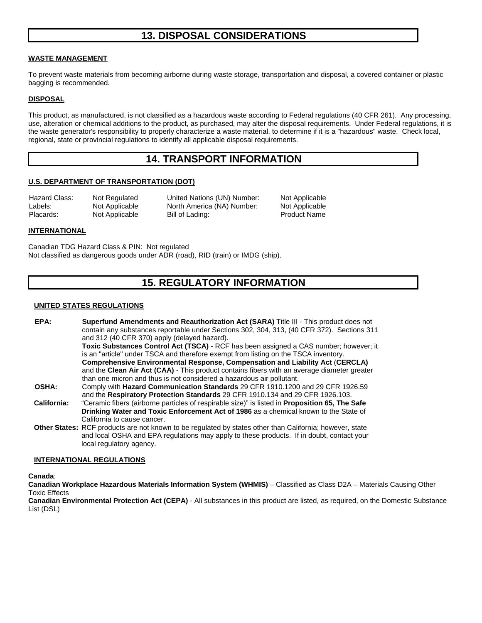### **13. DISPOSAL CONSIDERATIONS**

### **WASTE MANAGEMENT**

To prevent waste materials from becoming airborne during waste storage, transportation and disposal, a covered container or plastic bagging is recommended.

### **DISPOSAL**

This product, as manufactured, is not classified as a hazardous waste according to Federal regulations (40 CFR 261). Any processing, use, alteration or chemical additions to the product, as purchased, may alter the disposal requirements. Under Federal regulations, it is the waste generator's responsibility to properly characterize a waste material, to determine if it is a "hazardous" waste. Check local, regional, state or provincial regulations to identify all applicable disposal requirements.

### **14. TRANSPORT INFORMATION**

### **U.S. DEPARTMENT OF TRANSPORTATION (DOT)**

Hazard Class: Not Regulated United Nations (UN) Number: Not Applicable Labels: Not Applicable North America (NA) Number: Not Applicable Placards: Not Applicable Bill of Lading: Product Name

#### **INTERNATIONAL**

Canadian TDG Hazard Class & PIN: Not regulated Not classified as dangerous goods under ADR (road), RID (train) or IMDG (ship).

### **15. REGULATORY INFORMATION**

#### **UNITED STATES REGULATIONS**

| EPA:         | <b>Superfund Amendments and Reauthorization Act (SARA)</b> Title III - This product does not<br>contain any substances reportable under Sections 302, 304, 313, (40 CFR 372). Sections 311<br>and 312 (40 CFR 370) apply (delayed hazard). |
|--------------|--------------------------------------------------------------------------------------------------------------------------------------------------------------------------------------------------------------------------------------------|
|              | Toxic Substances Control Act (TSCA) - RCF has been assigned a CAS number; however; it                                                                                                                                                      |
|              | is an "article" under TSCA and therefore exempt from listing on the TSCA inventory.                                                                                                                                                        |
|              | Comprehensive Environmental Response, Compensation and Liability Act (CERCLA)                                                                                                                                                              |
|              | and the Clean Air Act (CAA) - This product contains fibers with an average diameter greater                                                                                                                                                |
|              | than one micron and thus is not considered a hazardous air pollutant.                                                                                                                                                                      |
| <b>OSHA:</b> | Comply with Hazard Communication Standards 29 CFR 1910.1200 and 29 CFR 1926.59                                                                                                                                                             |
|              | and the Respiratory Protection Standards 29 CFR 1910.134 and 29 CFR 1926.103.                                                                                                                                                              |
| California:  | "Ceramic fibers (airborne particles of respirable size)" is listed in <b>Proposition 65, The Safe</b>                                                                                                                                      |
|              | Drinking Water and Toxic Enforcement Act of 1986 as a chemical known to the State of                                                                                                                                                       |
|              | California to cause cancer.                                                                                                                                                                                                                |
|              | Other States: RCF products are not known to be regulated by states other than California; however, state                                                                                                                                   |
|              | and local OSHA and EPA regulations may apply to these products. If in doubt, contact your                                                                                                                                                  |
|              | local regulatory agency.                                                                                                                                                                                                                   |

#### **INTERNATIONAL REGULATIONS**

**Canada**:

**Canadian Workplace Hazardous Materials Information System (WHMIS)** – Classified as Class D2A – Materials Causing Other Toxic Effects

**Canadian Environmental Protection Act (CEPA)** - All substances in this product are listed, as required, on the Domestic Substance List (DSL)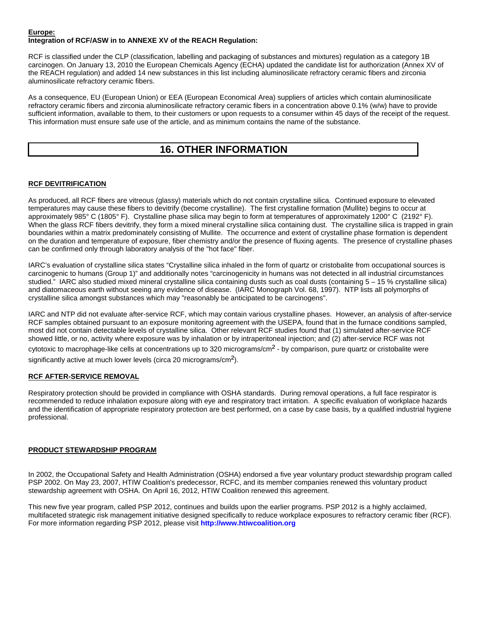#### **Europe: Integration of RCF/ASW in to ANNEXE XV of the REACH Regulation:**

RCF is classified under the CLP (classification, labelling and packaging of substances and mixtures) regulation as a category 1B carcinogen. On January 13, 2010 the European Chemicals Agency (ECHA) updated the candidate list for authorization (Annex XV of the REACH regulation) and added 14 new substances in this list including aluminosilicate refractory ceramic fibers and zirconia aluminosilicate refractory ceramic fibers.

As a consequence, EU (European Union) or EEA (European Economical Area) suppliers of articles which contain aluminosilicate refractory ceramic fibers and zirconia aluminosilicate refractory ceramic fibers in a concentration above 0.1% (w/w) have to provide sufficient information, available to them, to their customers or upon requests to a consumer within 45 days of the receipt of the request. This information must ensure safe use of the article, and as minimum contains the name of the substance.

### **16. OTHER INFORMATION**

### **RCF DEVITRIFICATION**

As produced, all RCF fibers are vitreous (glassy) materials which do not contain crystalline silica.Continued exposure to elevated temperatures may cause these fibers to devitrify (become crystalline). The first crystalline formation (Mullite) begins to occur at approximately 985° C (1805° F). Crystalline phase silica may begin to form at temperatures of approximately 1200° C (2192° F). When the glass RCF fibers devitrify, they form a mixed mineral crystalline silica containing dust. The crystalline silica is trapped in grain boundaries within a matrix predominately consisting of Mullite. The occurrence and extent of crystalline phase formation is dependent on the duration and temperature of exposure, fiber chemistry and/or the presence of fluxing agents. The presence of crystalline phases can be confirmed only through laboratory analysis of the "hot face" fiber.

IARC's evaluation of crystalline silica states "Crystalline silica inhaled in the form of quartz or cristobalite from occupational sources is carcinogenic to humans (Group 1)" and additionally notes "carcinogenicity in humans was not detected in all industrial circumstances studied." IARC also studied mixed mineral crystalline silica containing dusts such as coal dusts (containing 5 – 15 % crystalline silica) and diatomaceous earth without seeing any evidence of disease. (IARC Monograph Vol. 68, 1997). NTP lists all polymorphs of crystalline silica amongst substances which may "reasonably be anticipated to be carcinogens".

IARC and NTP did not evaluate after-service RCF, which may contain various crystalline phases. However, an analysis of after-service RCF samples obtained pursuant to an exposure monitoring agreement with the USEPA, found that in the furnace conditions sampled, most did not contain detectable levels of crystalline silica. Other relevant RCF studies found that (1) simulated after-service RCF showed little, or no, activity where exposure was by inhalation or by intraperitoneal injection; and (2) after-service RCF was not cytotoxic to macrophage-like cells at concentrations up to 320 micrograms/cm² - by comparison, pure quartz or cristobalite were significantly active at much lower levels (circa 20 micrograms/cm<sup>2</sup>).

### **RCF AFTER-SERVICE REMOVAL**

Respiratory protection should be provided in compliance with OSHA standards. During removal operations, a full face respirator is recommended to reduce inhalation exposure along with eye and respiratory tract irritation. A specific evaluation of workplace hazards and the identification of appropriate respiratory protection are best performed, on a case by case basis, by a qualified industrial hygiene professional.

### **PRODUCT STEWARDSHIP PROGRAM**

In 2002, the Occupational Safety and Health Administration (OSHA) endorsed a five year voluntary product stewardship program called PSP 2002. On May 23, 2007, HTIW Coalition's predecessor, RCFC, and its member companies renewed this voluntary product stewardship agreement with OSHA. On April 16, 2012, HTIW Coalition renewed this agreement.

This new five year program, called PSP 2012, continues and builds upon the earlier programs. PSP 2012 is a highly acclaimed, multifaceted strategic risk management initiative designed specifically to reduce workplace exposures to refractory ceramic fiber (RCF). For more information regarding PSP 2012, please visit **http://www.htiwcoalition.org**